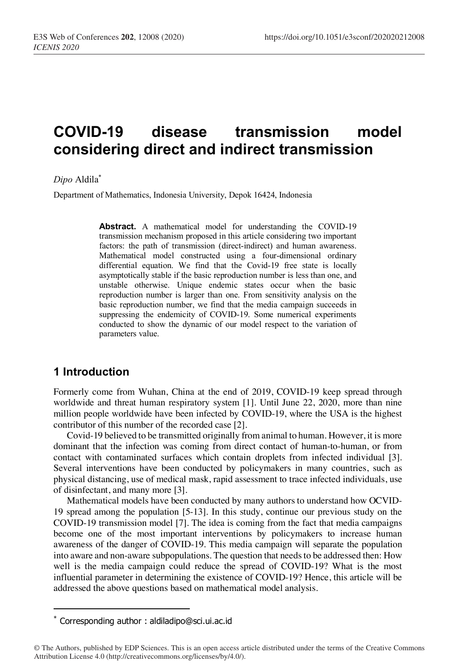# **COVID-19 disease transmission model considering direct and indirect transmission**

*Dipo* Aldila\*

Department of Mathematics, Indonesia University, Depok 16424, Indonesia

**Abstract.** A mathematical model for understanding the COVID-19 transmission mechanism proposed in this article considering two important factors: the path of transmission (direct-indirect) and human awareness. Mathematical model constructed using a four-dimensional ordinary differential equation. We find that the Covid-19 free state is locally asymptotically stable if the basic reproduction number is less than one, and unstable otherwise. Unique endemic states occur when the basic reproduction number is larger than one. From sensitivity analysis on the basic reproduction number, we find that the media campaign succeeds in suppressing the endemicity of COVID-19. Some numerical experiments conducted to show the dynamic of our model respect to the variation of parameters value.

# **1 Introduction**

I

Formerly come from Wuhan, China at the end of 2019, COVID-19 keep spread through worldwide and threat human respiratory system [1]. Until June 22, 2020, more than nine million people worldwide have been infected by COVID-19, where the USA is the highest contributor of this number of the recorded case [2].

Covid-19 believed to be transmitted originally from animal to human. However, it is more dominant that the infection was coming from direct contact of human-to-human, or from contact with contaminated surfaces which contain droplets from infected individual [3]. Several interventions have been conducted by policymakers in many countries, such as physical distancing, use of medical mask, rapid assessment to trace infected individuals, use of disinfectant, and many more [3].

Mathematical models have been conducted by many authors to understand how OCVID-19 spread among the population [5-13]. In this study, continue our previous study on the COVID-19 transmission model [7]. The idea is coming from the fact that media campaigns become one of the most important interventions by policymakers to increase human awareness of the danger of COVID-19. This media campaign will separate the population into aware and non-aware subpopulations. The question that needs to be addressed then: How well is the media campaign could reduce the spread of COVID-19? What is the most influential parameter in determining the existence of COVID-19? Hence, this article will be addressed the above questions based on mathematical model analysis.

<sup>\*</sup> Corresponding author : aldiladipo@sci.ui.ac.id

<sup>©</sup> The Authors, published by EDP Sciences. This is an open access article distributed under the terms of the Creative Commons Attribution License 4.0 (http://creativecommons.org/licenses/by/4.0/).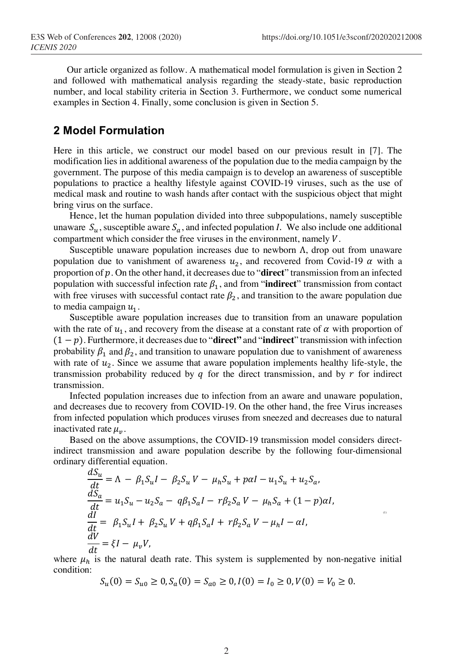Our article organized as follow. A mathematical model formulation is given in Section 2 and followed with mathematical analysis regarding the steady-state, basic reproduction number, and local stability criteria in Section 3. Furthermore, we conduct some numerical examples in Section 4. Finally, some conclusion is given in Section 5.

## **2 Model Formulation**

Here in this article, we construct our model based on our previous result in [7]. The modification lies in additional awareness of the population due to the media campaign by the government. The purpose of this media campaign is to develop an awareness of susceptible populations to practice a healthy lifestyle against COVID-19 viruses, such as the use of medical mask and routine to wash hands after contact with the suspicious object that might bring virus on the surface.

Hence, let the human population divided into three subpopulations, namely susceptible unaware  $S_u$ , susceptible aware  $S_a$ , and infected population *I*. We also include one additional compartment which consider the free viruses in the environment, namely  $V$ .

Susceptible unaware population increases due to newborn  $\Lambda$ , drop out from unaware population due to vanishment of awareness  $u_2$ , and recovered from Covid-19  $\alpha$  with a proportion of p. On the other hand, it decreases due to "**direct**" transmission from an infected population with successful infection rate  $\beta_1$ , and from "**indirect**" transmission from contact with free viruses with successful contact rate  $\beta_2$ , and transition to the aware population due to media campaign  $u_1$ .

Susceptible aware population increases due to transition from an unaware population with the rate of  $u_1$ , and recovery from the disease at a constant rate of  $\alpha$  with proportion of (1 − ). Furthermore, it decreases due to "**direct"** and "**indirect**" transmission with infection probability  $\beta_1$  and  $\beta_2$ , and transition to unaware population due to vanishment of awareness with rate of  $u_2$ . Since we assume that aware population implements healthy life-style, the transmission probability reduced by  $q$  for the direct transmission, and by  $r$  for indirect transmission.

Infected population increases due to infection from an aware and unaware population, and decreases due to recovery from COVID-19. On the other hand, the free Virus increases from infected population which produces viruses from sneezed and decreases due to natural inactivated rate  $\mu_n$ .

Based on the above assumptions, the COVID-19 transmission model considers directindirect transmission and aware population describe by the following four-dimensional ordinary differential equation.

$$
\frac{dS_u}{dt} = \Lambda - \beta_1 S_u I - \beta_2 S_u V - \mu_h S_u + paI - u_1 S_u + u_2 S_a,
$$
  
\n
$$
\frac{dS_a}{dt} = u_1 S_u - u_2 S_a - q\beta_1 S_a I - r\beta_2 S_a V - \mu_h S_a + (1 - p)aI,
$$
  
\n
$$
\frac{dI}{dt} = \beta_1 S_u I + \beta_2 S_u V + q\beta_1 S_a I + r\beta_2 S_a V - \mu_h I - \alpha I,
$$
  
\n
$$
\frac{dV}{dt} = \xi I - \mu_v V,
$$

where  $\mu_h$  is the natural death rate. This system is supplemented by non-negative initial condition:

$$
S_u(0) = S_{u0} \ge 0, S_a(0) = S_{a0} \ge 0, I(0) = I_0 \ge 0, V(0) = V_0 \ge 0.
$$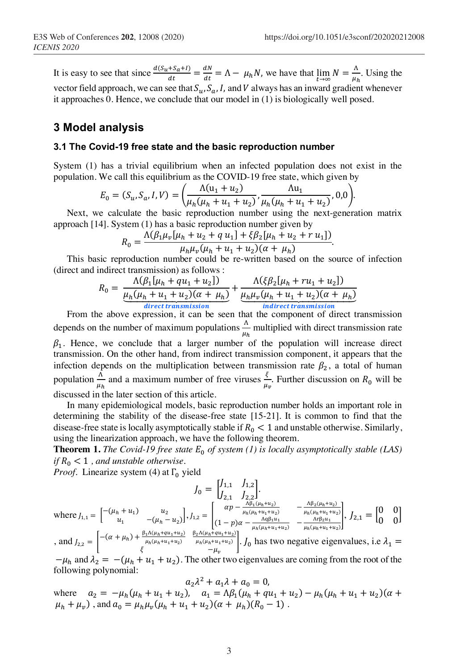It is easy to see that since  $\frac{a(s_u + s_a + l)}{dt} = \frac{aN}{dt} = \Lambda - \mu_h N$ , we have that  $\lim_{t \to \infty} N = \frac{\Lambda}{\mu_h}$ . Using the vector field approach, we can see that  $S_u$ ,  $S_a$ , I, and V always has an inward gradient whenever it approaches 0. Hence, we conclude that our model in (1) is biologically well posed.

## **3 Model analysis**

#### **3.1 The Covid-19 free state and the basic reproduction number**

System (1) has a trivial equilibrium when an infected population does not exist in the population. We call this equilibrium as the COVID-19 free state, which given by

$$
E_0 = (S_u, S_a, I, V) = \left(\frac{\Lambda(u_1 + u_2)}{\mu_h(\mu_h + u_1 + u_2)}, \frac{\Lambda u_1}{\mu_h(\mu_h + u_1 + u_2)}, 0, 0\right).
$$

Next, we calculate the basic reproduction number using the next-generation matrix approach [14]. System (1) has a basic reproduction number given by

$$
R_0 = \frac{\Lambda(\beta_1\mu_v[\mu_h + u_2 + q u_1] + \xi\beta_2[\mu_h + u_2 + r u_1])}{\mu_h\mu_v(\mu_h + u_1 + u_2)(\alpha + \mu_h)}.
$$

This basic reproduction number could be re-written based on the source of infection (direct and indirect transmission) as follows :

$$
R_0 = \frac{\Lambda(\beta_1[\mu_h + qu_1 + u_2])}{\frac{\mu_h(\mu_h + u_1 + u_2)(\alpha + \mu_h)}{\text{direct transmission}}} + \frac{\Lambda(\xi\beta_2[\mu_h + ru_1 + u_2])}{\frac{\mu_h\mu_v(\mu_h + u_1 + u_2)(\alpha + \mu_h)}{\text{indirect transmission}}}
$$

*direct transmission*<br>From the above expression, it can be seen that the component of direct transmission depends on the number of maximum populations  $\frac{\Lambda}{\mu_h}$  multiplied with direct transmission rate  $\beta_1$ . Hence, we conclude that a larger number of the population will increase direct transmission. On the other hand, from indirect transmission component, it appears that the infection depends on the multiplication between transmission rate  $\beta_2$ , a total of human

population  $\frac{\Lambda}{\mu_h}$  and a maximum number of free viruses  $\frac{\xi}{\mu_v}$ . Further discussion on  $R_0$  will be discussed in the later section of this article.

In many epidemiological models, basic reproduction number holds an important role in determining the stability of the disease-free state [15-21]. It is common to find that the disease-free state is locally asymptotically stable if  $R_0 < 1$  and unstable otherwise. Similarly, using the linearization approach, we have the following theorem.

**Theorem 1.** The Covid-19 free state  $E_0$  of system (1) is locally asymptotically stable (LAS) *if*  $R_0 < 1$ , and unstable otherwise.

*Proof.* Linearize system (4) at  $\Gamma_0$  yield

$$
J_0 = \begin{bmatrix} J_{1,1} & J_{1,2} \\ J_{2,1} & J_{2,2} \end{bmatrix}.
$$
  
where  $J_{1,1} = \begin{bmatrix} -(\mu_h + u_1) & u_2 \\ u_1 & -(\mu_h - u_2) \end{bmatrix}, J_{1,2} = \begin{bmatrix} ap - \frac{\Lambda \beta_1 (\mu_h + u_2)}{\mu_h (\mu_h + u_1 + u_2)} & -\frac{\Lambda \beta_2 (\mu_h + u_2)}{\mu_h (\mu_h + u_1 + u_2)} \\ (1 - p)\alpha - \frac{\Lambda \alpha \beta_1 u_1}{\mu_h (\mu_h + u_1 + u_2)} & -\frac{\Lambda \alpha \beta_2 u_1}{\mu_h (\mu_h + u_1 + u_2)} \end{bmatrix}, J_{2,1} = \begin{bmatrix} 0 & 0 \\ 0 & 0 \end{bmatrix}$   

$$
[-(\alpha + \mu_h) + \frac{\beta_1 \Lambda (\mu_h + q u_1 + u_2)}{\mu_h (\mu_h + u_1 + u_2)} & \frac{\beta_2 \Lambda (\mu_h + q u_1 + u_2)}{\mu_h (\mu_h + u_1 + u_2)} \end{bmatrix}, J_{2,1} = \begin{bmatrix} 0 & 0 \\ 0 & 0 \end{bmatrix}
$$

, and  $J_{2,2} = \begin{bmatrix} -(\alpha + \mu_h) + \frac{\beta_1 \Lambda(\mu_h + q u_1 + u_2)}{\mu_h(\mu_h + u_1 + u_2)} \end{bmatrix}$  $\mu_h(\mu_h+u_1+u_2)$  $\iota_{h}(\mu_h + u_1 + u_2)$  =  $\mu_h(\mu_h + u_1 + u_2)$ .  $\iint_0$  has two negative eigenvalues, i.e  $\lambda_1 = \xi$  $-\mu_h$  and  $\lambda_2 = -(\mu_h + u_1 + u_2)$ . The other two eigenvalues are coming from the root of the following polynomial:

 $a_2 \lambda^2 + a_1 \lambda + a_0 = 0,$ where  $a_2 = -\mu_h(\mu_h + u_1 + u_2)$ ,  $a_1 = \Lambda \beta_1(\mu_h + q u_1 + u_2) - \mu_h(\mu_h + u_1 + u_2)(\alpha + \beta_1)$  $\mu_h + \mu_v$ ), and  $a_0 = \mu_h \mu_v (\mu_h + u_1 + u_2)(\alpha + \mu_h)(R_0 - 1)$ .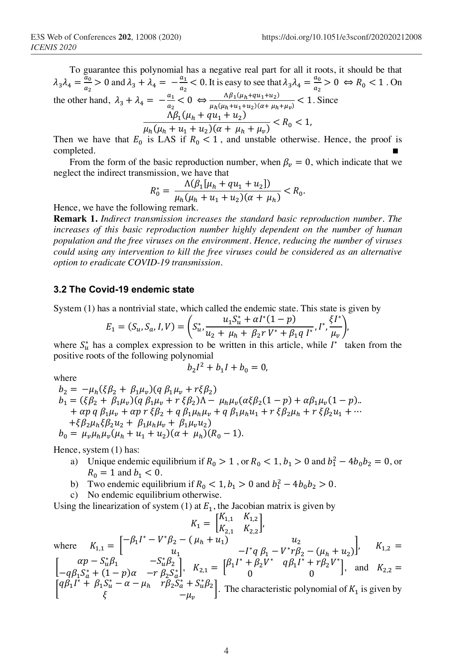To guarantee this polynomial has a negative real part for all it roots, it should be that  $\lambda_3 \lambda_4 = \frac{a_0}{a_2} > 0$  and  $\lambda_3 + \lambda_4 = -\frac{a_1}{a_2} < 0$ . It is easy to see that  $\lambda_3 \lambda_4 = \frac{a_0}{a_2} > 0 \Leftrightarrow R_0 < 1$ . On the other hand,  $\lambda_3 + \lambda_4 = -\frac{a_1}{a_2} < 0 \Leftrightarrow \frac{\Delta \beta_1(\mu_h + q u_1 + u_2)}{\mu_h(\mu_h + u_1 + u_2)(\alpha + \mu_h + \mu_v)} < 1$ . Since  $\Delta \beta_1(\mu_h + q u_1 + u_2)$  $\frac{\mu_h(\mu_h + u_1 + u_2)(\alpha + \mu_h + \mu_v)}{K_0}$  < R<sub>0</sub> < 1,

Then we have that  $E_0$  is LAS if  $R_0 < 1$ , and unstable otherwise. Hence, the proof is completed. ■

From the form of the basic reproduction number, when  $\beta_v = 0$ , which indicate that we neglect the indirect transmission, we have that

$$
R_0^* = \frac{\Lambda(\beta_1[\mu_h + qu_1 + u_2])}{\mu_h(\mu_h + u_1 + u_2)(\alpha + \mu_h)} < R_0.
$$

Hence, we have the following remark.

**Remark 1.** *Indirect transmission increases the standard basic reproduction number. The increases of this basic reproduction number highly dependent on the number of human population and the free viruses on the environment. Hence, reducing the number of viruses could using any intervention to kill the free viruses could be considered as an alternative option to eradicate COVID-19 transmission.* 

#### **3.2 The Covid-19 endemic state**

System (1) has a nontrivial state, which called the endemic state. This state is given by

$$
E_1 = (S_u, S_a, I, V) = \left( S_u^* \frac{u_1 S_u^* + \alpha I^* (1 - p)}{u_2 + \mu_h + \beta_2 r V^* + \beta_1 q I^*}, I^* \frac{\xi I^*}{\mu_v} \right),
$$

where  $S_u^*$  has a complex expression to be written in this article, while  $I^*$  taken from the positive roots of the following polynomial

$$
b_2I^2 + b_1I + b_0 = 0,
$$

where

$$
b_2 = -\mu_h(\xi \beta_2 + \beta_1 \mu_v)(q \beta_1 \mu_v + r \xi \beta_2)
$$
  
\n
$$
b_1 = (\xi \beta_2 + \beta_1 \mu_v)(q \beta_1 \mu_v + r \xi \beta_2)\Lambda - \mu_h \mu_v(\alpha \xi \beta_2 (1 - p) + \alpha \beta_1 \mu_v (1 - p))
$$
  
\n
$$
+ \alpha p q \beta_1 \mu_v + \alpha p r \xi \beta_2 + q \beta_1 \mu_h \mu_v + q \beta_1 \mu_h u_1 + r \xi \beta_2 \mu_h + r \xi \beta_2 u_1 + \cdots
$$
  
\n
$$
+ \xi \beta_2 \mu_h \xi \beta_2 u_2 + \beta_1 \mu_h \mu_v + \beta_1 \mu_v u_2)
$$
  
\n
$$
b_0 = \mu_v \mu_h \mu_v (\mu_h + u_1 + u_2)(\alpha + \mu_h)(R_0 - 1).
$$

Hence, system (1) has:

- a) Unique endemic equilibrium if  $R_0 > 1$ , or  $R_0 < 1$ ,  $b_1 > 0$  and  $b_1^2 4b_0b_2 = 0$ , or  $R_0 = 1$  and  $b_1 < 0$ .
- b) Two endemic equilibrium if  $R_0 < 1, b_1 > 0$  and  $b_1^2 4b_0b_2 > 0$ .
- c) No endemic equilibrium otherwise.

Using the linearization of system (1) at  $E_1$ , the Jacobian matrix is given by

$$
K_{1} = \begin{bmatrix} K_{1,1} & K_{1,2} \\ K_{2,1} & K_{2,2} \end{bmatrix},
$$
  
\nwhere  $K_{1,1} = \begin{bmatrix} -\beta_{1}I^{*} - V^{*}\beta_{2} - (\mu_{h} + u_{1}) & u_{2} \\ u_{1} & -I^{*}q \beta_{1} - V^{*}r\beta_{2} - (\mu_{h} + u_{2}) \end{bmatrix},$   $K_{1,2} = \begin{bmatrix} \alpha p - S_{u}^{*}\beta_{1} & -S_{u}^{*}\beta_{2} \\ -q\beta_{1}S_{a}^{*} + (1-p)\alpha & -r \beta_{2}S_{a}^{*} \end{bmatrix},$   $K_{2,1} = \begin{bmatrix} \beta_{1}I^{*} + \beta_{2}V^{*} & q\beta_{1}I^{*} + r\beta_{2}V^{*} \\ 0 & 0 \end{bmatrix},$  and  $K_{2,2} = \begin{bmatrix} q\beta_{1}I^{*} + \beta_{1}S_{u}^{*} - \alpha - \mu_{h} & r\beta_{2}S_{a}^{*} + S_{u}^{*}\beta_{2} \\ \xi & -\mu_{v} \end{bmatrix}.$  The characteristic polynomial of  $K_{1}$  is given by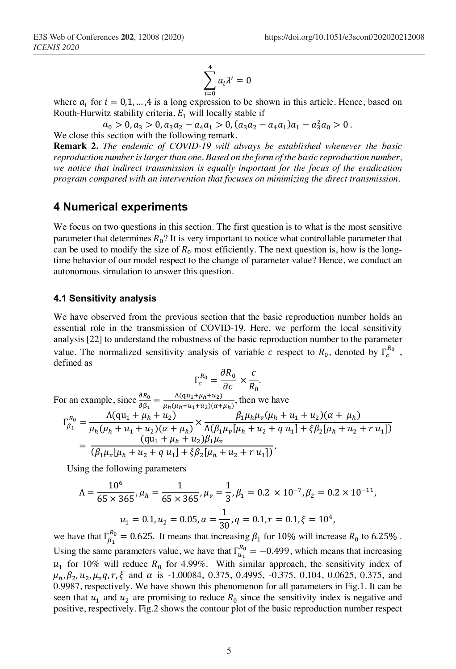$$
\sum_{i=0}^{4} a_i \lambda^i = 0
$$

where  $a_i$  for  $i = 0, 1, ..., 4$  is a long expression to be shown in this article. Hence, based on Routh-Hurwitz stability criteria,  $E_1$  will locally stable if

$$
a_0 > 0, a_3 > 0, a_3 a_2 - a_4 a_1 > 0, (a_3 a_2 - a_4 a_1)a_1 - a_3^2 a_0 > 0
$$
.

We close this section with the following remark.

**Remark 2.** *The endemic of COVID-19 will always be established whenever the basic reproduction number is larger than one. Based on the form of the basic reproduction number, we notice that indirect transmission is equally important for the focus of the eradication program compared with an intervention that focuses on minimizing the direct transmission.*

## **4 Numerical experiments**

We focus on two questions in this section. The first question is to what is the most sensitive parameter that determines  $R_0$ ? It is very important to notice what controllable parameter that can be used to modify the size of  $R_0$  most efficiently. The next question is, how is the longtime behavior of our model respect to the change of parameter value? Hence, we conduct an autonomous simulation to answer this question.

#### **4.1 Sensitivity analysis**

We have observed from the previous section that the basic reproduction number holds an essential role in the transmission of COVID-19. Here, we perform the local sensitivity analysis [22] to understand the robustness of the basic reproduction number to the parameter value. The normalized sensitivity analysis of variable c respect to  $R_0$ , denoted by  $\Gamma_c^{R_0}$ , defined as

$$
\Gamma_c^{R_0} = \frac{\partial R_0}{\partial c} \times \frac{c}{R_0}.
$$

For an example, since 
$$
\frac{\partial R_0}{\partial \beta_1} = \frac{\Lambda(qu_1 + \mu_h + u_2)}{\mu_h(\mu_h + u_1 + u_2)(\alpha + \mu_h)}
$$
, then we have  
\n
$$
\Gamma_{\beta_1}^{R_0} = \frac{\Lambda(qu_1 + \mu_h + u_2)}{\mu_h(\mu_h + u_1 + u_2)(\alpha + \mu_h)} \times \frac{\beta_1 \mu_h \mu_v(\mu_h + u_1 + u_2)(\alpha + \mu_h)}{\Lambda(\beta_1 \mu_v[\mu_h + u_2 + q u_1] + \xi \beta_2[\mu_h + u_2 + r u_1])}
$$
\n
$$
= \frac{(qu_1 + \mu_h + u_2)\beta_1 \mu_v}{(\beta_1 \mu_v[\mu_h + u_2 + q u_1] + \xi \beta_2[\mu_h + u_2 + r u_1])}.
$$

Using the following parameters

$$
\Lambda = \frac{10^6}{65 \times 365}, \mu_h = \frac{1}{65 \times 365}, \mu_v = \frac{1}{3}, \beta_1 = 0.2 \times 10^{-7}, \beta_2 = 0.2 \times 10^{-11},
$$

$$
u_1 = 0.1, u_2 = 0.05, \alpha = \frac{1}{30}, q = 0.1, r = 0.1, \xi = 10^4,
$$

we have that  $\Gamma_{\beta_1}^{R_0} = 0.625$ . It means that increasing  $\beta_1$  for 10% will increase  $R_0$  to 6.25%. Using the same parameters value, we have that  $\Gamma_{u_1}^{R_0} = -0.499$ , which means that increasing  $u_1$  for 10% will reduce  $R_0$  for 4.99%. With similar approach, the sensitivity index of  $\mu_h$ ,  $\beta_2$ ,  $u_2$ ,  $\mu_v q$ ,  $r$ ,  $\xi$  and  $\alpha$  is -1.00084, 0.375, 0.4995, -0.375, 0.104, 0.0625, 0.375, and 0.9987, respectively. We have shown this phenomenon for all parameters in Fig.1. It can be seen that  $u_1$  and  $u_2$  are promising to reduce  $R_0$  since the sensitivity index is negative and positive, respectively. Fig.2 shows the contour plot of the basic reproduction number respect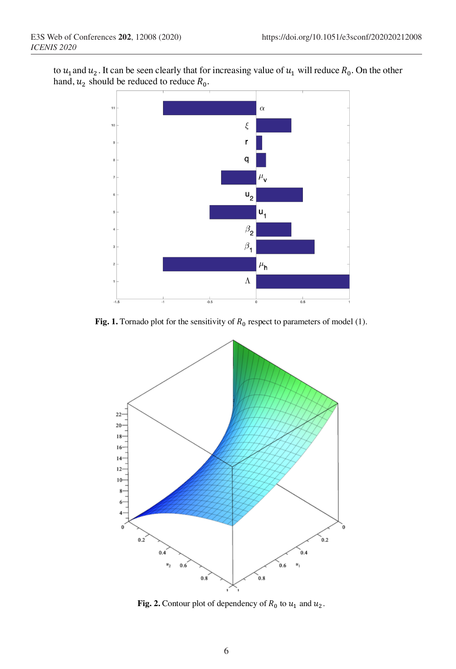to  $u_1$  and  $u_2$ . It can be seen clearly that for increasing value of  $u_1$  will reduce  $R_0$ . On the other hand,  $u_2$  should be reduced to reduce  $R_0$ .



**Fig. 1.** Tornado plot for the sensitivity of  $R_0$  respect to parameters of model (1).



**Fig. 2.** Contour plot of dependency of  $R_0$  to  $u_1$  and  $u_2$ .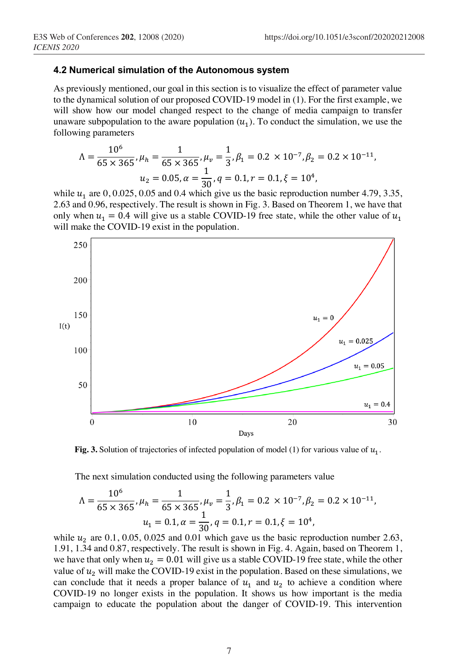### **4.2 Numerical simulation of the Autonomous system**

As previously mentioned, our goal in this section is to visualize the effect of parameter value to the dynamical solution of our proposed COVID-19 model in (1). For the first example, we will show how our model changed respect to the change of media campaign to transfer unaware subpopulation to the aware population  $(u_1)$ . To conduct the simulation, we use the following parameters

$$
\Lambda = \frac{10^6}{65 \times 365}, \mu_h = \frac{1}{65 \times 365}, \mu_v = \frac{1}{3}, \beta_1 = 0.2 \times 10^{-7}, \beta_2 = 0.2 \times 10^{-11},
$$
  

$$
u_2 = 0.05, \alpha = \frac{1}{30}, q = 0.1, r = 0.1, \xi = 10^4,
$$

while  $u_1$  are  $0, 0.025, 0.05$  and 0.4 which give us the basic reproduction number 4.79, 3.35, 2.63 and 0.96, respectively. The result is shown in Fig. 3. Based on Theorem 1, we have that only when  $u_1 = 0.4$  will give us a stable COVID-19 free state, while the other value of  $u_1$ will make the COVID-19 exist in the population.



**Fig. 3.** Solution of trajectories of infected population of model (1) for various value of  $u_1$ .

The next simulation conducted using the following parameters value

$$
\Lambda = \frac{10^6}{65 \times 365}, \mu_h = \frac{1}{65 \times 365}, \mu_v = \frac{1}{3}, \beta_1 = 0.2 \times 10^{-7}, \beta_2 = 0.2 \times 10^{-11},
$$
  

$$
u_1 = 0.1, \alpha = \frac{1}{30}, q = 0.1, r = 0.1, \xi = 10^4,
$$

while  $u_2$  are 0.1, 0.05, 0.025 and 0.01 which gave us the basic reproduction number 2.63, 1.91, 1.34 and 0.87, respectively. The result is shown in Fig. 4. Again, based on Theorem 1, we have that only when  $u_2 = 0.01$  will give us a stable COVID-19 free state, while the other value of  $u_2$  will make the COVID-19 exist in the population. Based on these simulations, we can conclude that it needs a proper balance of  $u_1$  and  $u_2$  to achieve a condition where COVID-19 no longer exists in the population. It shows us how important is the media campaign to educate the population about the danger of COVID-19. This intervention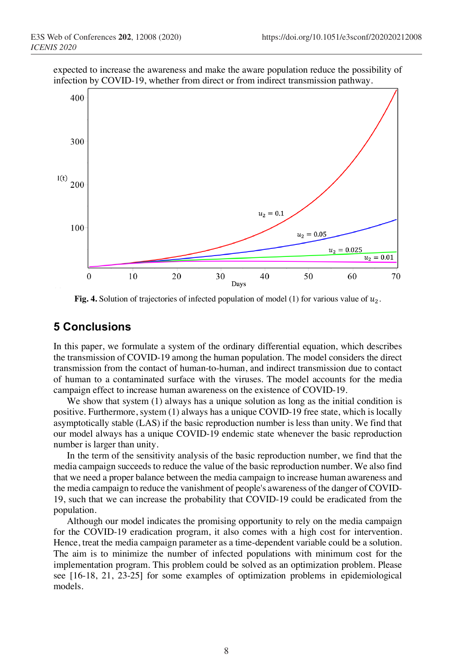expected to increase the awareness and make the aware population reduce the possibility of infection by COVID-19, whether from direct or from indirect transmission pathway.



**Fig. 4.** Solution of trajectories of infected population of model (1) for various value of  $u_2$ .

## **5 Conclusions**

In this paper, we formulate a system of the ordinary differential equation, which describes the transmission of COVID-19 among the human population. The model considers the direct transmission from the contact of human-to-human, and indirect transmission due to contact of human to a contaminated surface with the viruses. The model accounts for the media campaign effect to increase human awareness on the existence of COVID-19.

We show that system (1) always has a unique solution as long as the initial condition is positive. Furthermore, system (1) always has a unique COVID-19 free state, which is locally asymptotically stable (LAS) if the basic reproduction number is less than unity. We find that our model always has a unique COVID-19 endemic state whenever the basic reproduction number is larger than unity.

In the term of the sensitivity analysis of the basic reproduction number, we find that the media campaign succeeds to reduce the value of the basic reproduction number. We also find that we need a proper balance between the media campaign to increase human awareness and the media campaign to reduce the vanishment of people's awareness of the danger of COVID-19, such that we can increase the probability that COVID-19 could be eradicated from the population.

Although our model indicates the promising opportunity to rely on the media campaign for the COVID-19 eradication program, it also comes with a high cost for intervention. Hence, treat the media campaign parameter as a time-dependent variable could be a solution. The aim is to minimize the number of infected populations with minimum cost for the implementation program. This problem could be solved as an optimization problem. Please see [16-18, 21, 23-25] for some examples of optimization problems in epidemiological models.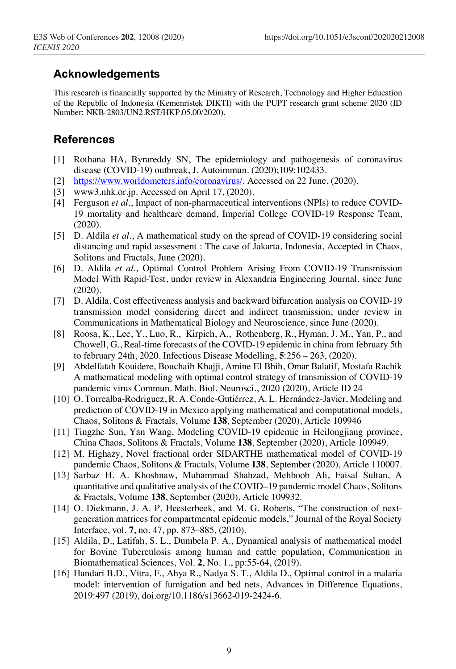# **Acknowledgements**

This research is financially supported by the Ministry of Research, Technology and Higher Education of the Republic of Indonesia (Kemenristek DIKTI) with the PUPT research grant scheme 2020 (ID Number: NKB-2803/UN2.RST/HKP.05.00/2020).

# **References**

- [1] Rothana HA, Byrareddy SN, The epidemiology and pathogenesis of coronavirus disease (COVID-19) outbreak, J. Autoimmun. (2020);109:102433.
- [2] https://www.worldometers.info/coronavirus/. Accessed on 22 June, (2020).
- [3] www3.nhk.or.jp. Accessed on April 17, (2020).
- [4] Ferguson *et al.*, Impact of non-pharmaceutical interventions (NPIs) to reduce COVID-19 mortality and healthcare demand, Imperial College COVID-19 Response Team, (2020).
- [5] D. Aldila *et al.*, A mathematical study on the spread of COVID-19 considering social distancing and rapid assessment : The case of Jakarta, Indonesia, Accepted in Chaos, Solitons and Fractals, June (2020).
- [6] D. Aldila *et al.,* Optimal Control Problem Arising From COVID-19 Transmission Model With Rapid-Test, under review in Alexandria Engineering Journal, since June (2020).
- [7] D. Aldila*,* Cost effectiveness analysis and backward bifurcation analysis on COVID-19 transmission model considering direct and indirect transmission, under review in Communications in Mathematical Biology and Neuroscience, since June (2020).
- [8] Roosa, K., Lee, Y., Luo, R., Kirpich, A., Rothenberg, R., Hyman, J. M., Yan, P., and Chowell, G., Real-time forecasts of the COVID-19 epidemic in china from february 5th to february 24th, 2020. Infectious Disease Modelling, **5**:256 – 263, (2020).
- [9] Abdelfatah Kouidere, Bouchaib Khajji, Amine El Bhih, Omar Balatif, Mostafa Rachik A mathematical modeling with optimal control strategy of transmission of COVID-19 pandemic virus Commun. Math. Biol. Neurosci., 2020 (2020), Article ID 24
- [10] O. Torrealba-Rodriguez, R. A. Conde-Gutiérrez, A. L. Hernández-Javier, Modeling and prediction of COVID-19 in Mexico applying mathematical and computational models, Chaos, Solitons & Fractals, Volume **138**, September (2020), Article 109946
- [11] Tingzhe Sun, Yan Wang, Modeling COVID-19 epidemic in Heilongjiang province, China Chaos, Solitons & Fractals, Volume **138**, September (2020), Article 109949.
- [12] M. Highazy, Novel fractional order SIDARTHE mathematical model of COVID-19 pandemic Chaos, Solitons & Fractals, Volume **138**, September (2020), Article 110007.
- [13] Sarbaz H. A. Khoshnaw, Muhammad Shahzad, Mehboob Ali, Faisal Sultan, A quantitative and qualitative analysis of the COVID–19 pandemic model Chaos, Solitons & Fractals, Volume **138**, September (2020), Article 109932.
- [14] O. Diekmann, J. A. P. Heesterbeek, and M. G. Roberts, "The construction of nextgeneration matrices for compartmental epidemic models," Journal of the Royal Society Interface, vol. **7**, no. 47, pp. 873–885, (2010).
- [15] Aldila, D., Latifah, S. L., Dumbela P. A., Dynamical analysis of mathematical model for Bovine Tuberculosis among human and cattle population, Communication in Biomathematical Sciences, Vol. **2**, No. 1., pp:55-64, (2019).
- [16] Handari B.D., Vitra, F., Ahya R., Nadya S. T., Aldila D., Optimal control in a malaria model: intervention of fumigation and bed nets, Advances in Difference Equations, 2019:497 (2019), doi.org/10.1186/s13662-019-2424-6.